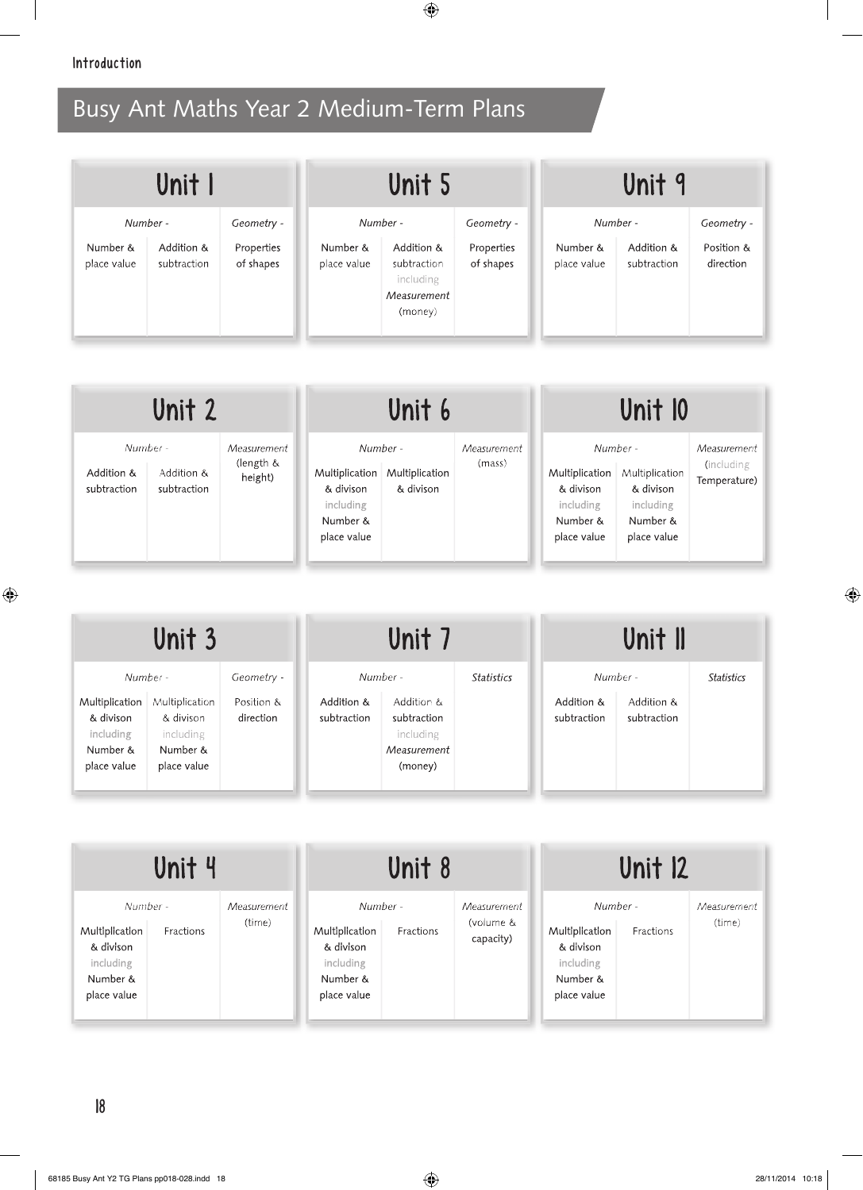|                         | Unit I                    |                         |                         | Unit 5                                                           |                         |                         | Unit 9                    |                         |
|-------------------------|---------------------------|-------------------------|-------------------------|------------------------------------------------------------------|-------------------------|-------------------------|---------------------------|-------------------------|
| Number -                |                           | Geometry -              |                         | Number -                                                         | Geometry -              | Number -                |                           | Geometry -              |
| Number &<br>place value | Addition &<br>subtraction | Properties<br>of shapes | Number &<br>place value | Addition &<br>subtraction<br>including<br>Measurement<br>(money) | Properties<br>of shapes | Number &<br>place value | Addition &<br>subtraction | Position &<br>direction |

| Unit 2                                                             |                                     | Unit 6                                                                          |                             | Unit 10               |                                                                                 |                                                                     |                                           |
|--------------------------------------------------------------------|-------------------------------------|---------------------------------------------------------------------------------|-----------------------------|-----------------------|---------------------------------------------------------------------------------|---------------------------------------------------------------------|-------------------------------------------|
| Number -<br>Addition &<br>Addition &<br>subtraction<br>subtraction | Measurement<br>(length &<br>height) | Number -<br>Multiplication<br>& divison<br>including<br>Number &<br>place value | Multiplication<br>& divison | Measurement<br>(mass) | Number -<br>Multiplication<br>& divison<br>including<br>Number &<br>place value | Multiplication<br>& divison<br>including<br>Number &<br>place value | Measurement<br>(including<br>Temperature) |

|                                                                     | Unit 3                                                              |                         |                           | Unit 7                                                           |                   |                           | Unit II                   |                   |
|---------------------------------------------------------------------|---------------------------------------------------------------------|-------------------------|---------------------------|------------------------------------------------------------------|-------------------|---------------------------|---------------------------|-------------------|
| Number -                                                            |                                                                     | Geometry -              |                           | Number -                                                         | <b>Statistics</b> | Number -                  |                           | <b>Statistics</b> |
| Multiplication<br>& divison<br>including<br>Number &<br>place value | Multiplication<br>& divison<br>including<br>Number &<br>place value | Position &<br>direction | Addition &<br>subtraction | Addition &<br>subtraction<br>including<br>Measurement<br>(money) |                   | Addition &<br>subtraction | Addition &<br>subtraction |                   |

| Unit 4                                                                                       |                       |                                                                                 | Unit 8    |                                       |                                                                                 | Unit 12   |                       |
|----------------------------------------------------------------------------------------------|-----------------------|---------------------------------------------------------------------------------|-----------|---------------------------------------|---------------------------------------------------------------------------------|-----------|-----------------------|
| Number -<br>Multiplication<br>Fractions<br>& divison<br>including<br>Number &<br>place value | Measurement<br>(time) | Number -<br>Multiplication<br>& divison<br>including<br>Number &<br>place value | Fractions | Measurement<br>(volume &<br>capacity) | Number -<br>Multiplication<br>& divison<br>including<br>Number &<br>place value | Fractions | Measurement<br>(time) |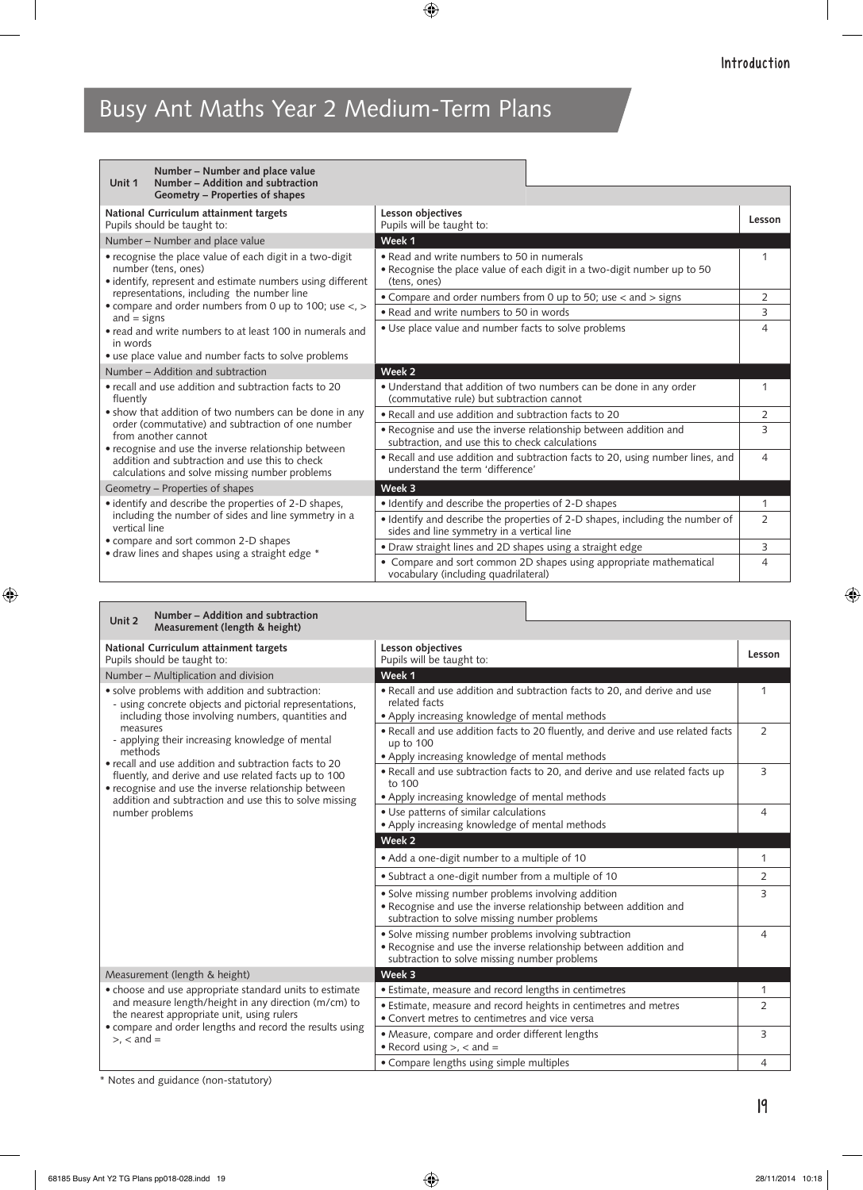| Number – Number and place value<br>Number - Addition and subtraction<br>Unit 1<br>Geometry – Properties of shapes                                        |                                                                                                                                        |                |
|----------------------------------------------------------------------------------------------------------------------------------------------------------|----------------------------------------------------------------------------------------------------------------------------------------|----------------|
| National Curriculum attainment targets<br>Pupils should be taught to:                                                                                    | Lesson objectives<br>Pupils will be taught to:                                                                                         | Lesson         |
| Number - Number and place value                                                                                                                          | Week 1                                                                                                                                 |                |
| • recognise the place value of each digit in a two-digit<br>number (tens, ones)<br>• identify, represent and estimate numbers using different            | • Read and write numbers to 50 in numerals<br>• Recognise the place value of each digit in a two-digit number up to 50<br>(tens, ones) | $\mathbf{1}$   |
| representations, including the number line                                                                                                               | • Compare and order numbers from 0 up to 50; use < and > signs                                                                         | 2              |
| • compare and order numbers from 0 up to 100; use <, ><br>and $=$ signs                                                                                  | • Read and write numbers to 50 in words                                                                                                | 3              |
| • read and write numbers to at least 100 in numerals and<br>in words                                                                                     | • Use place value and number facts to solve problems                                                                                   | $\overline{4}$ |
| • use place value and number facts to solve problems                                                                                                     |                                                                                                                                        |                |
| Number – Addition and subtraction                                                                                                                        | Week 2                                                                                                                                 |                |
| • recall and use addition and subtraction facts to 20<br>fluently                                                                                        | • Understand that addition of two numbers can be done in any order<br>(commutative rule) but subtraction cannot                        | 1              |
| • show that addition of two numbers can be done in any                                                                                                   | • Recall and use addition and subtraction facts to 20                                                                                  | 2              |
| order (commutative) and subtraction of one number<br>from another cannot                                                                                 | . Recognise and use the inverse relationship between addition and<br>subtraction, and use this to check calculations                   | 3              |
| • recognise and use the inverse relationship between<br>addition and subtraction and use this to check<br>calculations and solve missing number problems | . Recall and use addition and subtraction facts to 20, using number lines, and<br>understand the term 'difference'                     | 4              |
| Geometry - Properties of shapes                                                                                                                          | Week 3                                                                                                                                 |                |
| • identify and describe the properties of 2-D shapes,                                                                                                    | • Identify and describe the properties of 2-D shapes                                                                                   | 1              |
| including the number of sides and line symmetry in a<br>vertical line                                                                                    | · Identify and describe the properties of 2-D shapes, including the number of<br>sides and line symmetry in a vertical line            | $\overline{2}$ |
| • compare and sort common 2-D shapes<br>• draw lines and shapes using a straight edge *                                                                  | • Draw straight lines and 2D shapes using a straight edge                                                                              | 3              |
|                                                                                                                                                          | • Compare and sort common 2D shapes using appropriate mathematical<br>vocabulary (including quadrilateral)                             | 4              |

| Number - Addition and subtraction<br>Unit 2<br>Measurement (length & height)                                                                                                                                                                                                                                                                                                                                                                                                                    |                                                                                                                                                                            |                |
|-------------------------------------------------------------------------------------------------------------------------------------------------------------------------------------------------------------------------------------------------------------------------------------------------------------------------------------------------------------------------------------------------------------------------------------------------------------------------------------------------|----------------------------------------------------------------------------------------------------------------------------------------------------------------------------|----------------|
| National Curriculum attainment targets<br>Pupils should be taught to:                                                                                                                                                                                                                                                                                                                                                                                                                           | Lesson objectives<br>Pupils will be taught to:                                                                                                                             | Lesson         |
| Number - Multiplication and division                                                                                                                                                                                                                                                                                                                                                                                                                                                            | Week 1                                                                                                                                                                     |                |
| • solve problems with addition and subtraction:<br>- using concrete objects and pictorial representations.<br>including those involving numbers, quantities and<br>measures<br>- applying their increasing knowledge of mental<br>methods<br>• recall and use addition and subtraction facts to 20<br>fluently, and derive and use related facts up to 100<br>• recognise and use the inverse relationship between<br>addition and subtraction and use this to solve missing<br>number problems | . Recall and use addition and subtraction facts to 20, and derive and use<br>related facts<br>• Apply increasing knowledge of mental methods                               | 1              |
|                                                                                                                                                                                                                                                                                                                                                                                                                                                                                                 | . Recall and use addition facts to 20 fluently, and derive and use related facts<br>up to 100<br>• Apply increasing knowledge of mental methods                            | $\overline{2}$ |
|                                                                                                                                                                                                                                                                                                                                                                                                                                                                                                 | . Recall and use subtraction facts to 20, and derive and use related facts up<br>to $100$<br>• Apply increasing knowledge of mental methods                                | 3              |
|                                                                                                                                                                                                                                                                                                                                                                                                                                                                                                 | • Use patterns of similar calculations<br>• Apply increasing knowledge of mental methods                                                                                   | $\overline{4}$ |
|                                                                                                                                                                                                                                                                                                                                                                                                                                                                                                 | Week 2                                                                                                                                                                     |                |
|                                                                                                                                                                                                                                                                                                                                                                                                                                                                                                 | • Add a one-digit number to a multiple of 10                                                                                                                               | 1              |
|                                                                                                                                                                                                                                                                                                                                                                                                                                                                                                 | • Subtract a one-digit number from a multiple of 10                                                                                                                        | 2              |
|                                                                                                                                                                                                                                                                                                                                                                                                                                                                                                 | • Solve missing number problems involving addition<br>• Recognise and use the inverse relationship between addition and<br>subtraction to solve missing number problems    | 3              |
|                                                                                                                                                                                                                                                                                                                                                                                                                                                                                                 | • Solve missing number problems involving subtraction<br>• Recognise and use the inverse relationship between addition and<br>subtraction to solve missing number problems | $\overline{4}$ |
| Measurement (length & height)                                                                                                                                                                                                                                                                                                                                                                                                                                                                   | Week 3                                                                                                                                                                     |                |
| • choose and use appropriate standard units to estimate                                                                                                                                                                                                                                                                                                                                                                                                                                         | · Estimate, measure and record lengths in centimetres                                                                                                                      | 1              |
| and measure length/height in any direction (m/cm) to<br>the nearest appropriate unit, using rulers<br>• compare and order lengths and record the results using                                                                                                                                                                                                                                                                                                                                  | • Estimate, measure and record heights in centimetres and metres<br>• Convert metres to centimetres and vice versa                                                         | $\overline{2}$ |
| $> x <$ and $=$                                                                                                                                                                                                                                                                                                                                                                                                                                                                                 | • Measure, compare and order different lengths<br>• Record using $>$ , $<$ and $=$                                                                                         | 3              |
|                                                                                                                                                                                                                                                                                                                                                                                                                                                                                                 | • Compare lengths using simple multiples                                                                                                                                   | 4              |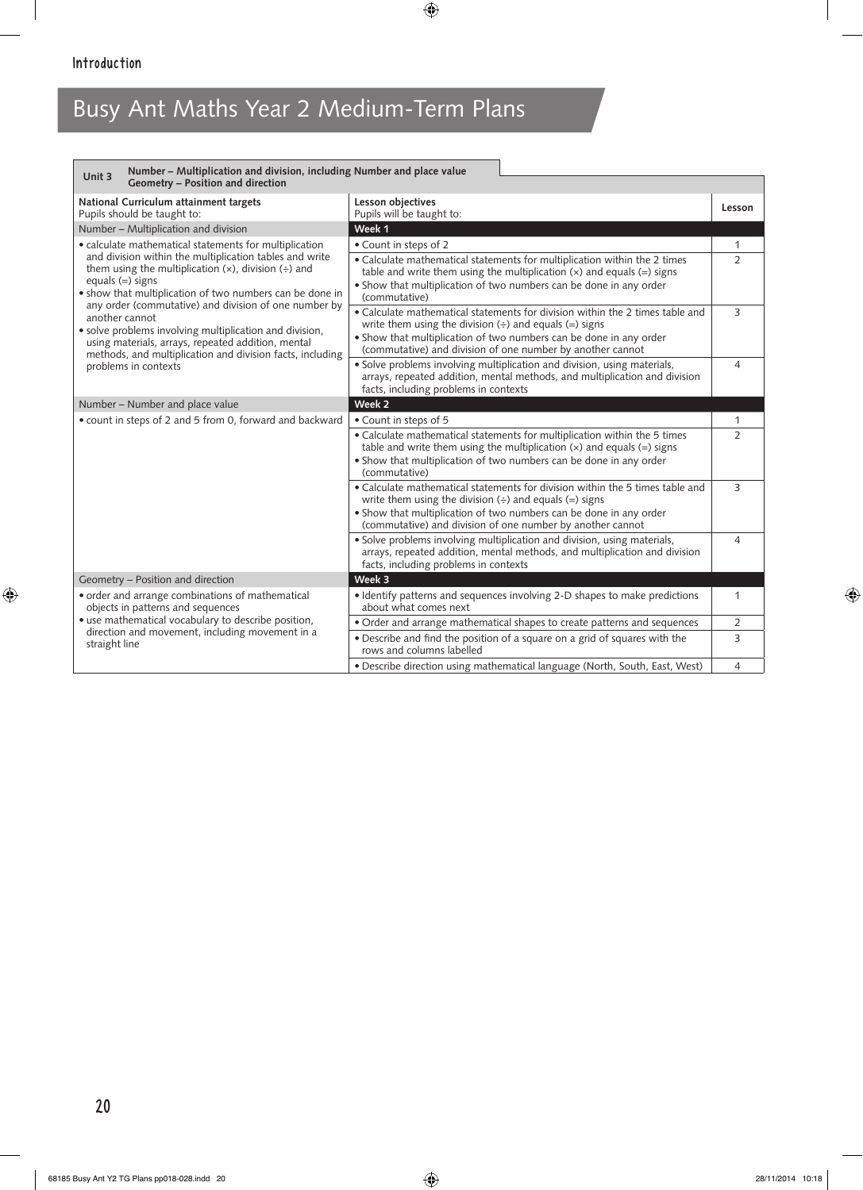| Number - Multiplication and division, including Number and place value<br>Unit 3<br>Geometry - Position and direction                                                                                                                                                                                                                                                                                                                                             |                                                                                                                                                                                                                                                                                             |                |
|-------------------------------------------------------------------------------------------------------------------------------------------------------------------------------------------------------------------------------------------------------------------------------------------------------------------------------------------------------------------------------------------------------------------------------------------------------------------|---------------------------------------------------------------------------------------------------------------------------------------------------------------------------------------------------------------------------------------------------------------------------------------------|----------------|
|                                                                                                                                                                                                                                                                                                                                                                                                                                                                   |                                                                                                                                                                                                                                                                                             |                |
| National Curriculum attainment targets<br>Pupils should be taught to:                                                                                                                                                                                                                                                                                                                                                                                             | Lesson objectives<br>Pupils will be taught to:                                                                                                                                                                                                                                              | Lesson         |
| Number - Multiplication and division                                                                                                                                                                                                                                                                                                                                                                                                                              | Week 1                                                                                                                                                                                                                                                                                      |                |
| • calculate mathematical statements for multiplication                                                                                                                                                                                                                                                                                                                                                                                                            | • Count in steps of 2                                                                                                                                                                                                                                                                       | 1              |
| and division within the multiplication tables and write<br>them using the multiplication $(x)$ , division $(\div)$ and<br>equals $(=)$ signs<br>. show that multiplication of two numbers can be done in<br>any order (commutative) and division of one number by<br>another cannot<br>• solve problems involving multiplication and division,<br>using materials, arrays, repeated addition, mental<br>methods, and multiplication and division facts, including | • Calculate mathematical statements for multiplication within the 2 times<br>table and write them using the multiplication $(x)$ and equals $(=)$ signs<br>• Show that multiplication of two numbers can be done in any order<br>(commutative)                                              | $\overline{2}$ |
|                                                                                                                                                                                                                                                                                                                                                                                                                                                                   | • Calculate mathematical statements for division within the 2 times table and<br>write them using the division $\leftrightarrow$ and equals $(=)$ signs<br>• Show that multiplication of two numbers can be done in any order<br>(commutative) and division of one number by another cannot | 3              |
| problems in contexts                                                                                                                                                                                                                                                                                                                                                                                                                                              | · Solve problems involving multiplication and division, using materials,<br>arrays, repeated addition, mental methods, and multiplication and division<br>facts, including problems in contexts                                                                                             | 4              |
| Number - Number and place value                                                                                                                                                                                                                                                                                                                                                                                                                                   | Week <sub>2</sub>                                                                                                                                                                                                                                                                           |                |
| • count in steps of 2 and 5 from 0, forward and backward                                                                                                                                                                                                                                                                                                                                                                                                          | • Count in steps of 5                                                                                                                                                                                                                                                                       | 1              |
|                                                                                                                                                                                                                                                                                                                                                                                                                                                                   | • Calculate mathematical statements for multiplication within the 5 times<br>table and write them using the multiplication $(x)$ and equals $(=)$ signs<br>• Show that multiplication of two numbers can be done in any order<br>(commutative)                                              | $\overline{2}$ |
|                                                                                                                                                                                                                                                                                                                                                                                                                                                                   | • Calculate mathematical statements for division within the 5 times table and<br>write them using the division $\leftrightarrow$ and equals $(=)$ signs<br>• Show that multiplication of two numbers can be done in any order<br>(commutative) and division of one number by another cannot | 3              |
|                                                                                                                                                                                                                                                                                                                                                                                                                                                                   | • Solve problems involving multiplication and division, using materials,<br>arrays, repeated addition, mental methods, and multiplication and division<br>facts, including problems in contexts                                                                                             | $\overline{4}$ |
| Geometry - Position and direction                                                                                                                                                                                                                                                                                                                                                                                                                                 | Week 3                                                                                                                                                                                                                                                                                      |                |
| • order and arrange combinations of mathematical<br>objects in patterns and sequences                                                                                                                                                                                                                                                                                                                                                                             | · Identify patterns and sequences involving 2-D shapes to make predictions<br>about what comes next                                                                                                                                                                                         | 1              |
| • use mathematical vocabulary to describe position,                                                                                                                                                                                                                                                                                                                                                                                                               | • Order and arrange mathematical shapes to create patterns and sequences                                                                                                                                                                                                                    | 2              |
| direction and movement, including movement in a<br>straight line                                                                                                                                                                                                                                                                                                                                                                                                  | • Describe and find the position of a square on a grid of squares with the<br>rows and columns labelled                                                                                                                                                                                     | 3              |
|                                                                                                                                                                                                                                                                                                                                                                                                                                                                   | . Describe direction using mathematical language (North, South, East, West)                                                                                                                                                                                                                 | $\overline{4}$ |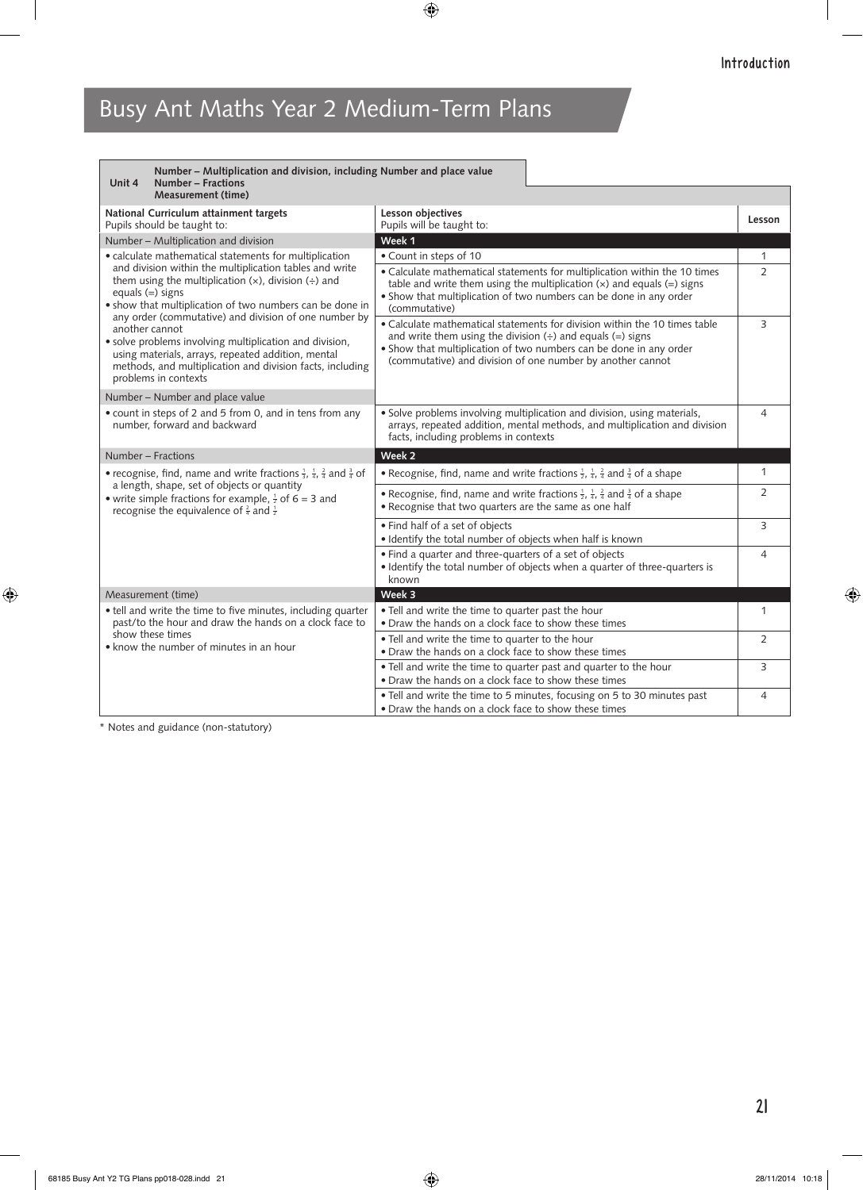| Number - Multiplication and division, including Number and place value<br>Number - Fractions<br>Unit 4<br><b>Measurement (time)</b>                                                                                                                               |                                                                                                                                                                                                                                                                                                         |                |
|-------------------------------------------------------------------------------------------------------------------------------------------------------------------------------------------------------------------------------------------------------------------|---------------------------------------------------------------------------------------------------------------------------------------------------------------------------------------------------------------------------------------------------------------------------------------------------------|----------------|
| National Curriculum attainment targets<br>Pupils should be taught to:                                                                                                                                                                                             | Lesson objectives<br>Pupils will be taught to:                                                                                                                                                                                                                                                          | Lesson         |
| Number - Multiplication and division                                                                                                                                                                                                                              | Week 1                                                                                                                                                                                                                                                                                                  |                |
| • calculate mathematical statements for multiplication                                                                                                                                                                                                            | • Count in steps of 10                                                                                                                                                                                                                                                                                  | 1              |
| and division within the multiplication tables and write<br>them using the multiplication $(x)$ , division $(\div)$ and<br>equals $(=)$ signs<br>• show that multiplication of two numbers can be done in<br>any order (commutative) and division of one number by | • Calculate mathematical statements for multiplication within the 10 times<br>table and write them using the multiplication $(x)$ and equals $(=)$ signs<br>• Show that multiplication of two numbers can be done in any order<br>(commutative)                                                         | $\overline{2}$ |
| another cannot<br>· solve problems involving multiplication and division,<br>using materials, arrays, repeated addition, mental<br>methods, and multiplication and division facts, including<br>problems in contexts                                              | • Calculate mathematical statements for division within the 10 times table<br>and write them using the division $\leftrightarrow$ and equals $\left(=\right)$ signs<br>• Show that multiplication of two numbers can be done in any order<br>(commutative) and division of one number by another cannot | 3              |
| Number – Number and place value                                                                                                                                                                                                                                   |                                                                                                                                                                                                                                                                                                         |                |
| • count in steps of 2 and 5 from 0, and in tens from any<br>number, forward and backward                                                                                                                                                                          | · Solve problems involving multiplication and division, using materials,<br>arrays, repeated addition, mental methods, and multiplication and division<br>facts, including problems in contexts                                                                                                         | $\overline{4}$ |
| Number - Fractions                                                                                                                                                                                                                                                | Week 2                                                                                                                                                                                                                                                                                                  |                |
| • recognise, find, name and write fractions $\frac{1}{3}$ , $\frac{1}{4}$ , $\frac{2}{4}$ and $\frac{3}{4}$ of<br>a length, shape, set of objects or quantity                                                                                                     | • Recognise, find, name and write fractions $\frac{1}{2}$ , $\frac{1}{4}$ , $\frac{2}{4}$ and $\frac{3}{4}$ of a shape                                                                                                                                                                                  | $\mathbf{1}$   |
| • write simple fractions for example, $\frac{1}{2}$ of 6 = 3 and<br>recognise the equivalence of $\frac{2}{4}$ and $\frac{1}{2}$                                                                                                                                  | • Recognise, find, name and write fractions $\frac{1}{2}$ , $\frac{1}{4}$ , $\frac{2}{4}$ and $\frac{3}{4}$ of a shape<br>• Recognise that two quarters are the same as one half                                                                                                                        | $\overline{2}$ |
|                                                                                                                                                                                                                                                                   | • Find half of a set of objects<br>· Identify the total number of objects when half is known                                                                                                                                                                                                            | 3              |
|                                                                                                                                                                                                                                                                   | • Find a quarter and three-quarters of a set of objects<br>• Identify the total number of objects when a quarter of three-quarters is<br>known                                                                                                                                                          | $\overline{4}$ |
| Measurement (time)                                                                                                                                                                                                                                                | Week 3                                                                                                                                                                                                                                                                                                  |                |
| • tell and write the time to five minutes, including quarter<br>past/to the hour and draw the hands on a clock face to                                                                                                                                            | . Tell and write the time to quarter past the hour<br>• Draw the hands on a clock face to show these times                                                                                                                                                                                              | $\mathbf{1}$   |
| show these times<br>• know the number of minutes in an hour                                                                                                                                                                                                       | • Tell and write the time to quarter to the hour<br>• Draw the hands on a clock face to show these times                                                                                                                                                                                                | 2              |
|                                                                                                                                                                                                                                                                   |                                                                                                                                                                                                                                                                                                         |                |
|                                                                                                                                                                                                                                                                   | . Tell and write the time to quarter past and quarter to the hour<br>• Draw the hands on a clock face to show these times                                                                                                                                                                               | 3              |

\* Notes and guidance (non-statutory)

 $\blacksquare$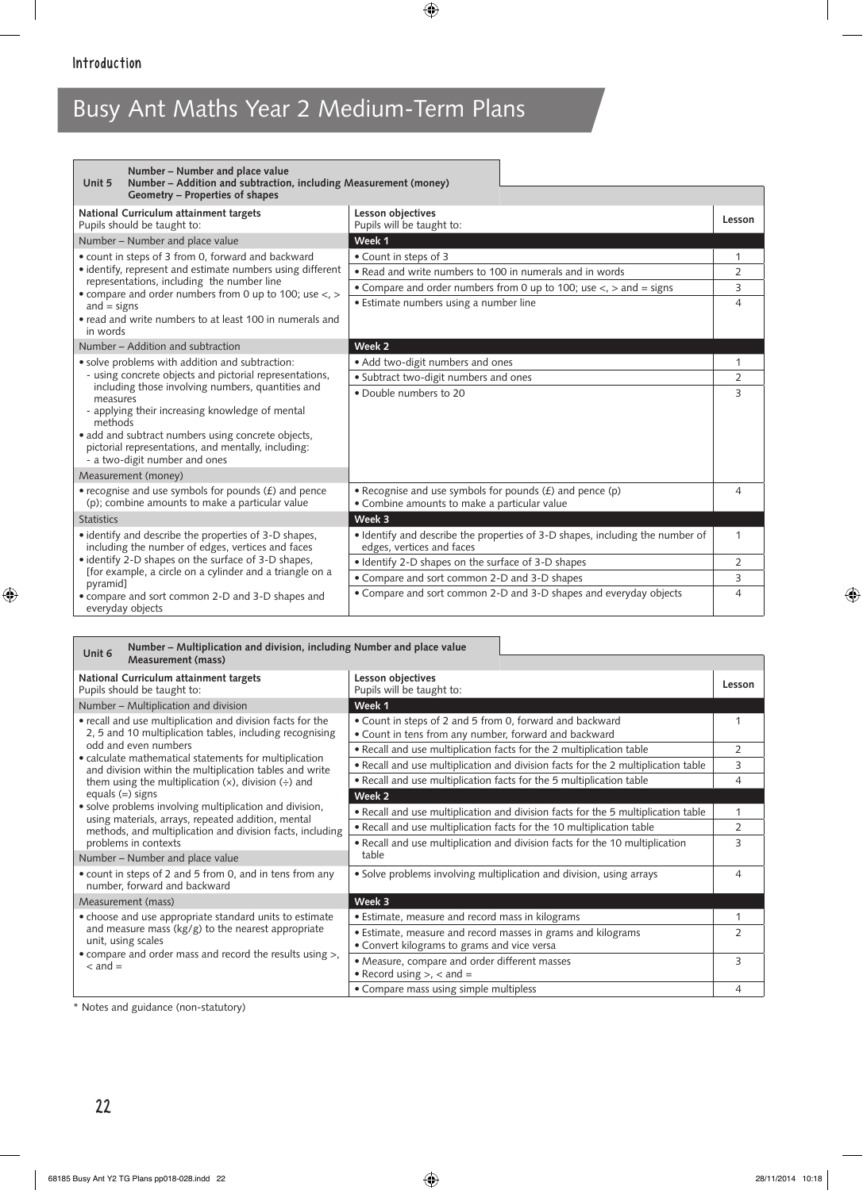| Number – Number and place value<br>Number - Addition and subtraction, including Measurement (money)<br>Unit 5                                                                                                                                                             |                                                                                                                        |                |  |
|---------------------------------------------------------------------------------------------------------------------------------------------------------------------------------------------------------------------------------------------------------------------------|------------------------------------------------------------------------------------------------------------------------|----------------|--|
| Geometry - Properties of shapes                                                                                                                                                                                                                                           |                                                                                                                        |                |  |
| National Curriculum attainment targets<br>Pupils should be taught to:                                                                                                                                                                                                     | Lesson objectives<br>Pupils will be taught to:                                                                         | Lesson         |  |
| Number – Number and place value                                                                                                                                                                                                                                           | Week 1                                                                                                                 |                |  |
| • count in steps of 3 from 0, forward and backward                                                                                                                                                                                                                        | • Count in steps of 3                                                                                                  |                |  |
| • identify, represent and estimate numbers using different<br>representations, including the number line                                                                                                                                                                  | • Read and write numbers to 100 in numerals and in words                                                               | 2              |  |
| • compare and order numbers from 0 up to 100; use $\lt$ , $>$                                                                                                                                                                                                             | • Compare and order numbers from 0 up to 100; use $\lt$ , $>$ and = signs                                              | 3              |  |
| and $=$ signs                                                                                                                                                                                                                                                             | • Estimate numbers using a number line                                                                                 | $\overline{4}$ |  |
| • read and write numbers to at least 100 in numerals and<br>in words                                                                                                                                                                                                      |                                                                                                                        |                |  |
| Number – Addition and subtraction                                                                                                                                                                                                                                         | Week 2                                                                                                                 |                |  |
| • solve problems with addition and subtraction:                                                                                                                                                                                                                           | • Add two-digit numbers and ones                                                                                       |                |  |
| - using concrete objects and pictorial representations,                                                                                                                                                                                                                   | · Subtract two-digit numbers and ones                                                                                  |                |  |
| including those involving numbers, quantities and<br>measures<br>- applying their increasing knowledge of mental<br>methods<br>• add and subtract numbers using concrete objects,<br>pictorial representations, and mentally, including:<br>- a two-digit number and ones | . Double numbers to 20                                                                                                 | 3              |  |
| Measurement (money)                                                                                                                                                                                                                                                       |                                                                                                                        |                |  |
| • recognise and use symbols for pounds $(f)$ and pence<br>(p); combine amounts to make a particular value                                                                                                                                                                 | $\bullet$ Recognise and use symbols for pounds ( $\pm$ ) and pence (p)<br>• Combine amounts to make a particular value | 4              |  |
| <b>Statistics</b>                                                                                                                                                                                                                                                         | Week 3                                                                                                                 |                |  |
| • identify and describe the properties of 3-D shapes,<br>including the number of edges, vertices and faces                                                                                                                                                                | · Identify and describe the properties of 3-D shapes, including the number of<br>edges, vertices and faces             | 1              |  |
| • identify 2-D shapes on the surface of 3-D shapes.                                                                                                                                                                                                                       | · Identify 2-D shapes on the surface of 3-D shapes                                                                     | $\overline{2}$ |  |
| [for example, a circle on a cylinder and a triangle on a<br>pyramid]                                                                                                                                                                                                      | • Compare and sort common 2-D and 3-D shapes                                                                           | 3              |  |
| • compare and sort common 2-D and 3-D shapes and<br>everyday objects                                                                                                                                                                                                      | • Compare and sort common 2-D and 3-D shapes and everyday objects                                                      | 4              |  |

| Number – Multiplication and division, including Number and place value<br>Unit 6<br><b>Measurement (mass)</b>                                                                                                                                                                                                                                              |                                                                                                                   |                |
|------------------------------------------------------------------------------------------------------------------------------------------------------------------------------------------------------------------------------------------------------------------------------------------------------------------------------------------------------------|-------------------------------------------------------------------------------------------------------------------|----------------|
| National Curriculum attainment targets<br>Pupils should be taught to:                                                                                                                                                                                                                                                                                      | Lesson objectives<br>Pupils will be taught to:                                                                    | Lesson         |
| Number - Multiplication and division                                                                                                                                                                                                                                                                                                                       | Week 1                                                                                                            |                |
| • recall and use multiplication and division facts for the<br>2, 5 and 10 multiplication tables, including recognising                                                                                                                                                                                                                                     | • Count in steps of 2 and 5 from 0, forward and backward<br>• Count in tens from any number, forward and backward |                |
| odd and even numbers<br>• calculate mathematical statements for multiplication<br>and division within the multiplication tables and write<br>them using the multiplication $(x)$ , division $\left(\div\right)$ and<br>equals $(=)$ signs<br>• solve problems involving multiplication and division,<br>using materials, arrays, repeated addition, mental | . Recall and use multiplication facts for the 2 multiplication table                                              | 2              |
|                                                                                                                                                                                                                                                                                                                                                            | • Recall and use multiplication and division facts for the 2 multiplication table                                 | 3              |
|                                                                                                                                                                                                                                                                                                                                                            | • Recall and use multiplication facts for the 5 multiplication table                                              | 4              |
|                                                                                                                                                                                                                                                                                                                                                            | Week 2                                                                                                            |                |
|                                                                                                                                                                                                                                                                                                                                                            | • Recall and use multiplication and division facts for the 5 multiplication table                                 | $\mathbf{1}$   |
| methods, and multiplication and division facts, including                                                                                                                                                                                                                                                                                                  | . Recall and use multiplication facts for the 10 multiplication table                                             | 2              |
| problems in contexts                                                                                                                                                                                                                                                                                                                                       | . Recall and use multiplication and division facts for the 10 multiplication                                      | 3              |
| Number - Number and place value                                                                                                                                                                                                                                                                                                                            | table                                                                                                             |                |
| • count in steps of 2 and 5 from 0, and in tens from any<br>number, forward and backward                                                                                                                                                                                                                                                                   | • Solve problems involving multiplication and division, using arrays                                              | $\overline{4}$ |
| Measurement (mass)                                                                                                                                                                                                                                                                                                                                         | Week 3                                                                                                            |                |
| • choose and use appropriate standard units to estimate                                                                                                                                                                                                                                                                                                    | • Estimate, measure and record mass in kilograms                                                                  | 1              |
| and measure mass ( $kg/g$ ) to the nearest appropriate<br>unit, using scales                                                                                                                                                                                                                                                                               | • Estimate, measure and record masses in grams and kilograms<br>• Convert kilograms to grams and vice versa       | 2              |
| • compare and order mass and record the results using >,<br>$\epsilon$ and $=$                                                                                                                                                                                                                                                                             | • Measure, compare and order different masses<br>• Record using $>$ , $<$ and $=$                                 | 3              |
|                                                                                                                                                                                                                                                                                                                                                            | • Compare mass using simple multipless                                                                            | 4              |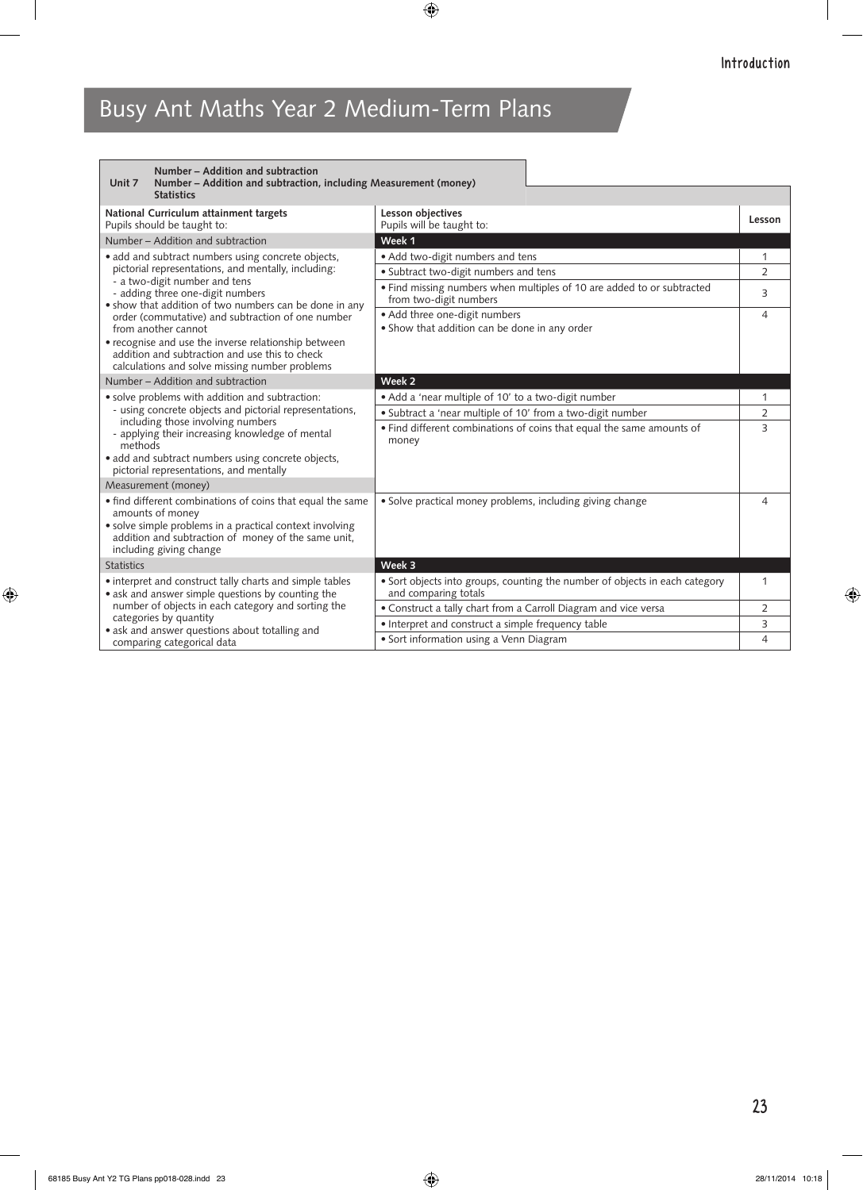| Number - Addition and subtraction<br>Unit 7<br>Number – Addition and subtraction, including Measurement (money)<br><b>Statistics</b>                                                                                         |                                                                                                     |                |
|------------------------------------------------------------------------------------------------------------------------------------------------------------------------------------------------------------------------------|-----------------------------------------------------------------------------------------------------|----------------|
| National Curriculum attainment targets<br>Pupils should be taught to:                                                                                                                                                        | Lesson objectives<br>Pupils will be taught to:                                                      | Lesson         |
| Number – Addition and subtraction                                                                                                                                                                                            | Week 1                                                                                              |                |
| • add and subtract numbers using concrete objects,                                                                                                                                                                           | · Add two-digit numbers and tens                                                                    | 1              |
| pictorial representations, and mentally, including:<br>- a two-digit number and tens                                                                                                                                         | • Subtract two-digit numbers and tens                                                               | $\overline{2}$ |
| - adding three one-digit numbers<br>• show that addition of two numbers can be done in any                                                                                                                                   | • Find missing numbers when multiples of 10 are added to or subtracted<br>from two-digit numbers    | 3              |
| order (commutative) and subtraction of one number<br>from another cannot                                                                                                                                                     | • Add three one-digit numbers<br>• Show that addition can be done in any order                      | 4              |
| • recognise and use the inverse relationship between<br>addition and subtraction and use this to check<br>calculations and solve missing number problems                                                                     |                                                                                                     |                |
| Number – Addition and subtraction                                                                                                                                                                                            | Week <sub>2</sub>                                                                                   |                |
| • solve problems with addition and subtraction:                                                                                                                                                                              | • Add a 'near multiple of 10' to a two-digit number                                                 | 1              |
| - using concrete objects and pictorial representations,<br>including those involving numbers                                                                                                                                 | · Subtract a 'near multiple of 10' from a two-digit number                                          | $\overline{2}$ |
| - applying their increasing knowledge of mental<br>methods                                                                                                                                                                   | • Find different combinations of coins that equal the same amounts of<br>money                      | 3              |
| • add and subtract numbers using concrete objects,<br>pictorial representations, and mentally                                                                                                                                |                                                                                                     |                |
| Measurement (money)                                                                                                                                                                                                          |                                                                                                     |                |
| • find different combinations of coins that equal the same<br>amounts of money<br>• solve simple problems in a practical context involving<br>addition and subtraction of money of the same unit.<br>including giving change | • Solve practical money problems, including giving change                                           | 4              |
| <b>Statistics</b>                                                                                                                                                                                                            | Week 3                                                                                              |                |
| • interpret and construct tally charts and simple tables<br>• ask and answer simple questions by counting the                                                                                                                | • Sort objects into groups, counting the number of objects in each category<br>and comparing totals | 1              |
| number of objects in each category and sorting the                                                                                                                                                                           | • Construct a tally chart from a Carroll Diagram and vice versa                                     | $\overline{2}$ |
| categories by quantity<br>• ask and answer questions about totalling and                                                                                                                                                     | • Interpret and construct a simple frequency table                                                  | 3              |
| comparing categorical data                                                                                                                                                                                                   | • Sort information using a Venn Diagram                                                             | $\overline{4}$ |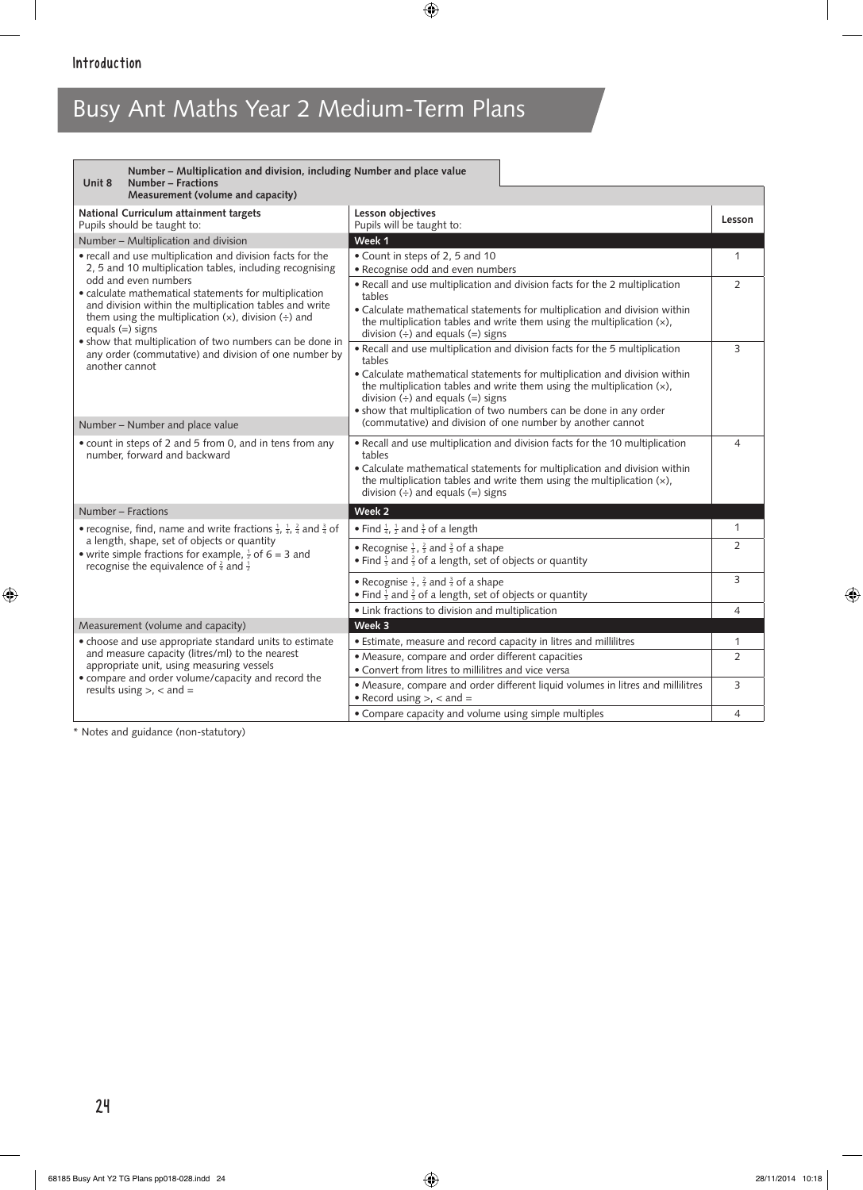| Number – Multiplication and division, including Number and place value<br><b>Number - Fractions</b><br>Unit 8                                                                                                                                                                                                                                            |                                                                                                                                                                                                                                                                                               |                |
|----------------------------------------------------------------------------------------------------------------------------------------------------------------------------------------------------------------------------------------------------------------------------------------------------------------------------------------------------------|-----------------------------------------------------------------------------------------------------------------------------------------------------------------------------------------------------------------------------------------------------------------------------------------------|----------------|
| Measurement (volume and capacity)                                                                                                                                                                                                                                                                                                                        |                                                                                                                                                                                                                                                                                               |                |
| National Curriculum attainment targets<br>Pupils should be taught to:                                                                                                                                                                                                                                                                                    | Lesson objectives<br>Pupils will be taught to:                                                                                                                                                                                                                                                | Lesson         |
| Number - Multiplication and division                                                                                                                                                                                                                                                                                                                     | Week 1                                                                                                                                                                                                                                                                                        |                |
| • recall and use multiplication and division facts for the<br>2, 5 and 10 multiplication tables, including recognising<br>odd and even numbers                                                                                                                                                                                                           | • Count in steps of 2, 5 and 10<br>• Recognise odd and even numbers                                                                                                                                                                                                                           | 1              |
| • calculate mathematical statements for multiplication<br>and division within the multiplication tables and write<br>them using the multiplication $(x)$ , division $\left(\div\right)$ and<br>equals $(=)$ signs<br>. show that multiplication of two numbers can be done in<br>any order (commutative) and division of one number by<br>another cannot | . Recall and use multiplication and division facts for the 2 multiplication<br>tables                                                                                                                                                                                                         | $\overline{2}$ |
|                                                                                                                                                                                                                                                                                                                                                          | • Calculate mathematical statements for multiplication and division within<br>the multiplication tables and write them using the multiplication $(x)$ ,<br>division $\left(\div\right)$ and equals $\left(=\right)$ signs                                                                     |                |
|                                                                                                                                                                                                                                                                                                                                                          | . Recall and use multiplication and division facts for the 5 multiplication<br>tables                                                                                                                                                                                                         | 3              |
|                                                                                                                                                                                                                                                                                                                                                          | • Calculate mathematical statements for multiplication and division within<br>the multiplication tables and write them using the multiplication (x),<br>division $(\div)$ and equals $(=)$ signs                                                                                              |                |
| Number - Number and place value                                                                                                                                                                                                                                                                                                                          | . show that multiplication of two numbers can be done in any order<br>(commutative) and division of one number by another cannot                                                                                                                                                              |                |
| • count in steps of 2 and 5 from 0, and in tens from any<br>number, forward and backward                                                                                                                                                                                                                                                                 | • Recall and use multiplication and division facts for the 10 multiplication<br>tables<br>• Calculate mathematical statements for multiplication and division within<br>the multiplication tables and write them using the multiplication $(x)$ ,<br>division $(\div)$ and equals $(=)$ signs | 4              |
| Number - Fractions                                                                                                                                                                                                                                                                                                                                       | Week 2                                                                                                                                                                                                                                                                                        |                |
| • recognise, find, name and write fractions $\frac{1}{3}$ , $\frac{1}{4}$ , $\frac{2}{4}$ and $\frac{3}{4}$ of                                                                                                                                                                                                                                           | • Find $\frac{1}{4}$ , $\frac{1}{2}$ and $\frac{3}{4}$ of a length                                                                                                                                                                                                                            | 1              |
| a length, shape, set of objects or quantity<br>• write simple fractions for example, $\frac{1}{2}$ of 6 = 3 and<br>recognise the equivalence of $\frac{2}{4}$ and $\frac{1}{2}$                                                                                                                                                                          | • Recognise $\frac{1}{3}$ , $\frac{2}{3}$ and $\frac{3}{3}$ of a shape<br>• Find $\frac{1}{3}$ and $\frac{2}{3}$ of a length, set of objects or quantity                                                                                                                                      | $\overline{2}$ |
|                                                                                                                                                                                                                                                                                                                                                          | • Recognise $\frac{1}{3}$ , $\frac{2}{3}$ and $\frac{3}{3}$ of a shape<br>• Find $\frac{1}{3}$ and $\frac{2}{3}$ of a length, set of objects or quantity                                                                                                                                      | 3              |
|                                                                                                                                                                                                                                                                                                                                                          | • Link fractions to division and multiplication                                                                                                                                                                                                                                               | $\overline{4}$ |
| Measurement (volume and capacity)                                                                                                                                                                                                                                                                                                                        | Week 3                                                                                                                                                                                                                                                                                        |                |
| • choose and use appropriate standard units to estimate<br>and measure capacity (litres/ml) to the nearest                                                                                                                                                                                                                                               | · Estimate, measure and record capacity in litres and millilitres                                                                                                                                                                                                                             | 1              |
| appropriate unit, using measuring vessels<br>• compare and order volume/capacity and record the                                                                                                                                                                                                                                                          | • Measure, compare and order different capacities<br>• Convert from litres to millilitres and vice versa                                                                                                                                                                                      | $\overline{2}$ |
| results using $>$ , < and =                                                                                                                                                                                                                                                                                                                              | • Measure, compare and order different liquid volumes in litres and millilitres<br>• Record using $>$ , $<$ and $=$                                                                                                                                                                           | 3              |
|                                                                                                                                                                                                                                                                                                                                                          | • Compare capacity and volume using simple multiples                                                                                                                                                                                                                                          | $\overline{4}$ |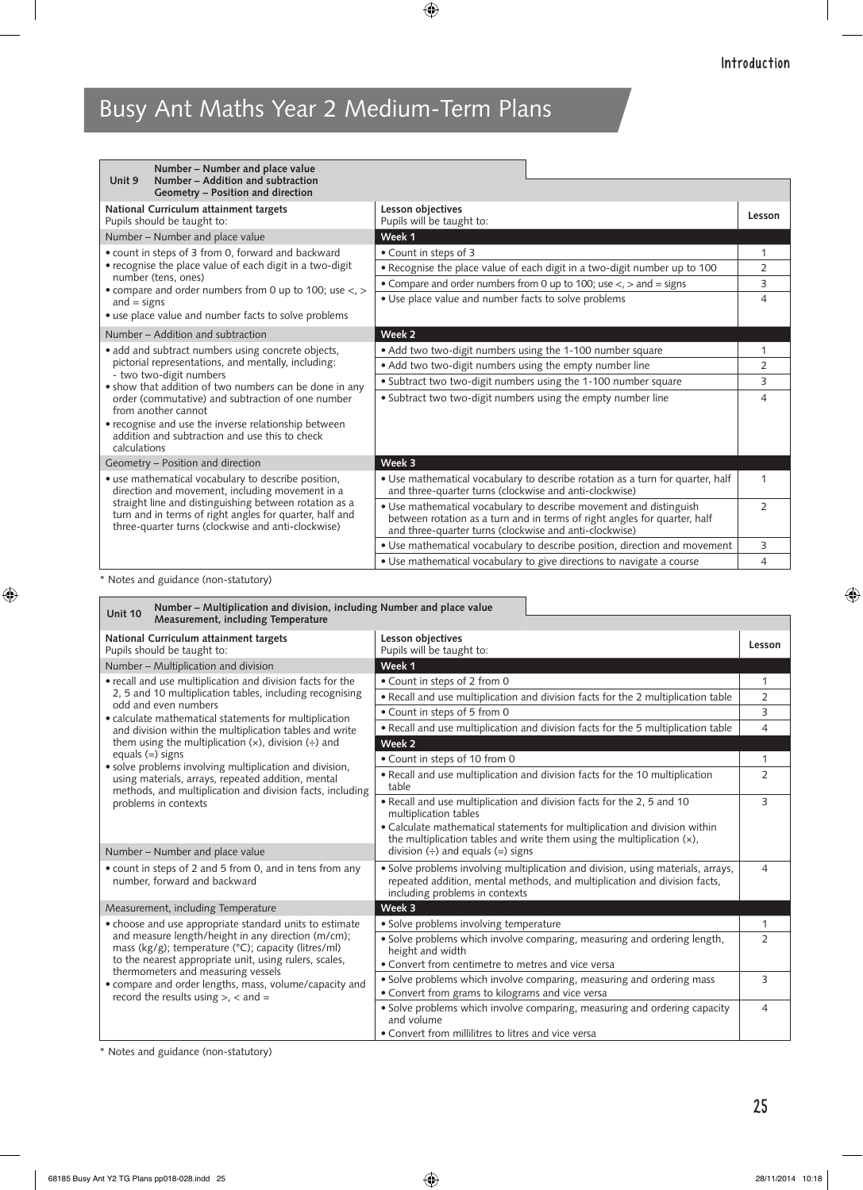| Number – Number and place value<br>Number - Addition and subtraction<br>Unit 9                                                                                                                                                                                                    |                                                                                                                                                                                                           |                |
|-----------------------------------------------------------------------------------------------------------------------------------------------------------------------------------------------------------------------------------------------------------------------------------|-----------------------------------------------------------------------------------------------------------------------------------------------------------------------------------------------------------|----------------|
| Geometry - Position and direction                                                                                                                                                                                                                                                 |                                                                                                                                                                                                           |                |
| National Curriculum attainment targets<br>Pupils should be taught to:                                                                                                                                                                                                             | Lesson objectives<br>Pupils will be taught to:                                                                                                                                                            | Lesson         |
| Number - Number and place value                                                                                                                                                                                                                                                   | Week 1                                                                                                                                                                                                    |                |
| • count in steps of 3 from 0, forward and backward<br>• recognise the place value of each digit in a two-digit<br>number (tens, ones)<br>• compare and order numbers from 0 up to 100; use $\lt$ , $>$                                                                            | • Count in steps of 3                                                                                                                                                                                     | 1              |
|                                                                                                                                                                                                                                                                                   | . Recognise the place value of each digit in a two-digit number up to 100                                                                                                                                 | 2              |
|                                                                                                                                                                                                                                                                                   | • Compare and order numbers from 0 up to 100; use $\lt$ , $>$ and $=$ signs                                                                                                                               | 3              |
| and $=$ signs                                                                                                                                                                                                                                                                     | • Use place value and number facts to solve problems                                                                                                                                                      | 4              |
| • use place value and number facts to solve problems                                                                                                                                                                                                                              |                                                                                                                                                                                                           |                |
| Number – Addition and subtraction                                                                                                                                                                                                                                                 | Week 2                                                                                                                                                                                                    |                |
| • add and subtract numbers using concrete objects,                                                                                                                                                                                                                                | • Add two two-digit numbers using the 1-100 number square                                                                                                                                                 | 1              |
| pictorial representations, and mentally, including:                                                                                                                                                                                                                               | • Add two two-digit numbers using the empty number line                                                                                                                                                   | 2              |
| - two two-digit numbers<br>• show that addition of two numbers can be done in any                                                                                                                                                                                                 | • Subtract two two-digit numbers using the 1-100 number square                                                                                                                                            | 3              |
| order (commutative) and subtraction of one number<br>from another cannot<br>• recognise and use the inverse relationship between<br>addition and subtraction and use this to check<br>calculations                                                                                | • Subtract two two-digit numbers using the empty number line                                                                                                                                              | 4              |
| Geometry - Position and direction                                                                                                                                                                                                                                                 | Week 3                                                                                                                                                                                                    |                |
| • use mathematical vocabulary to describe position,<br>direction and movement, including movement in a<br>straight line and distinguishing between rotation as a<br>turn and in terms of right angles for quarter, half and<br>three-quarter turns (clockwise and anti-clockwise) | • Use mathematical vocabulary to describe rotation as a turn for quarter, half<br>and three-quarter turns (clockwise and anti-clockwise)                                                                  | $\mathbf 1$    |
|                                                                                                                                                                                                                                                                                   | • Use mathematical vocabulary to describe movement and distinguish<br>between rotation as a turn and in terms of right angles for quarter, half<br>and three-quarter turns (clockwise and anti-clockwise) | $\overline{2}$ |
|                                                                                                                                                                                                                                                                                   | • Use mathematical vocabulary to describe position, direction and movement                                                                                                                                | 3              |
|                                                                                                                                                                                                                                                                                   | • Use mathematical vocabulary to give directions to navigate a course                                                                                                                                     | 4              |

\* Notes and guidance (non-statutory)

Г

| Number – Multiplication and division, including Number and place value<br><b>Unit 10</b><br>Measurement, including Temperature                                                                                                                                                                                                                                                                                                                                                                                                                                 |                                                                                                                                                                                                                                                            |                |
|----------------------------------------------------------------------------------------------------------------------------------------------------------------------------------------------------------------------------------------------------------------------------------------------------------------------------------------------------------------------------------------------------------------------------------------------------------------------------------------------------------------------------------------------------------------|------------------------------------------------------------------------------------------------------------------------------------------------------------------------------------------------------------------------------------------------------------|----------------|
| National Curriculum attainment targets<br>Pupils should be taught to:                                                                                                                                                                                                                                                                                                                                                                                                                                                                                          | Lesson objectives<br>Pupils will be taught to:                                                                                                                                                                                                             | Lesson         |
| Number - Multiplication and division                                                                                                                                                                                                                                                                                                                                                                                                                                                                                                                           | Week 1                                                                                                                                                                                                                                                     |                |
| • recall and use multiplication and division facts for the<br>2, 5 and 10 multiplication tables, including recognising<br>odd and even numbers<br>• calculate mathematical statements for multiplication<br>and division within the multiplication tables and write<br>them using the multiplication $(x)$ , division $(\div)$ and<br>equals $(=)$ signs<br>· solve problems involving multiplication and division,<br>using materials, arrays, repeated addition, mental<br>methods, and multiplication and division facts, including<br>problems in contexts | • Count in steps of 2 from 0                                                                                                                                                                                                                               | 1              |
|                                                                                                                                                                                                                                                                                                                                                                                                                                                                                                                                                                | . Recall and use multiplication and division facts for the 2 multiplication table                                                                                                                                                                          | 2              |
|                                                                                                                                                                                                                                                                                                                                                                                                                                                                                                                                                                | • Count in steps of 5 from 0                                                                                                                                                                                                                               | 3              |
|                                                                                                                                                                                                                                                                                                                                                                                                                                                                                                                                                                | . Recall and use multiplication and division facts for the 5 multiplication table                                                                                                                                                                          | $\overline{4}$ |
|                                                                                                                                                                                                                                                                                                                                                                                                                                                                                                                                                                | Week 2                                                                                                                                                                                                                                                     |                |
|                                                                                                                                                                                                                                                                                                                                                                                                                                                                                                                                                                | • Count in steps of 10 from 0                                                                                                                                                                                                                              | 1              |
|                                                                                                                                                                                                                                                                                                                                                                                                                                                                                                                                                                | . Recall and use multiplication and division facts for the 10 multiplication<br>table                                                                                                                                                                      | 2              |
|                                                                                                                                                                                                                                                                                                                                                                                                                                                                                                                                                                | • Recall and use multiplication and division facts for the 2, 5 and 10<br>multiplication tables<br>• Calculate mathematical statements for multiplication and division within<br>the multiplication tables and write them using the multiplication $(x)$ , | 3              |
| Number - Number and place value                                                                                                                                                                                                                                                                                                                                                                                                                                                                                                                                | division $\left(\div\right)$ and equals $\left(=\right)$ signs                                                                                                                                                                                             |                |
| • count in steps of 2 and 5 from 0, and in tens from any<br>number, forward and backward                                                                                                                                                                                                                                                                                                                                                                                                                                                                       | • Solve problems involving multiplication and division, using materials, arrays,<br>repeated addition, mental methods, and multiplication and division facts,<br>including problems in contexts                                                            | 4              |
| Measurement, including Temperature                                                                                                                                                                                                                                                                                                                                                                                                                                                                                                                             | Week 3                                                                                                                                                                                                                                                     |                |
| • choose and use appropriate standard units to estimate<br>and measure length/height in any direction (m/cm);<br>mass ( $kg/g$ ); temperature ( $°C$ ); capacity (litres/ml)<br>to the nearest appropriate unit, using rulers, scales,<br>thermometers and measuring vessels<br>• compare and order lengths, mass, volume/capacity and<br>record the results using $>$ , $<$ and $=$                                                                                                                                                                           | • Solve problems involving temperature                                                                                                                                                                                                                     | 1              |
|                                                                                                                                                                                                                                                                                                                                                                                                                                                                                                                                                                | • Solve problems which involve comparing, measuring and ordering length,<br>height and width<br>• Convert from centimetre to metres and vice versa                                                                                                         | 2              |
|                                                                                                                                                                                                                                                                                                                                                                                                                                                                                                                                                                | • Solve problems which involve comparing, measuring and ordering mass<br>• Convert from grams to kilograms and vice versa                                                                                                                                  | 3              |
|                                                                                                                                                                                                                                                                                                                                                                                                                                                                                                                                                                | · Solve problems which involve comparing, measuring and ordering capacity<br>and volume<br>• Convert from millilitres to litres and vice versa                                                                                                             | 4              |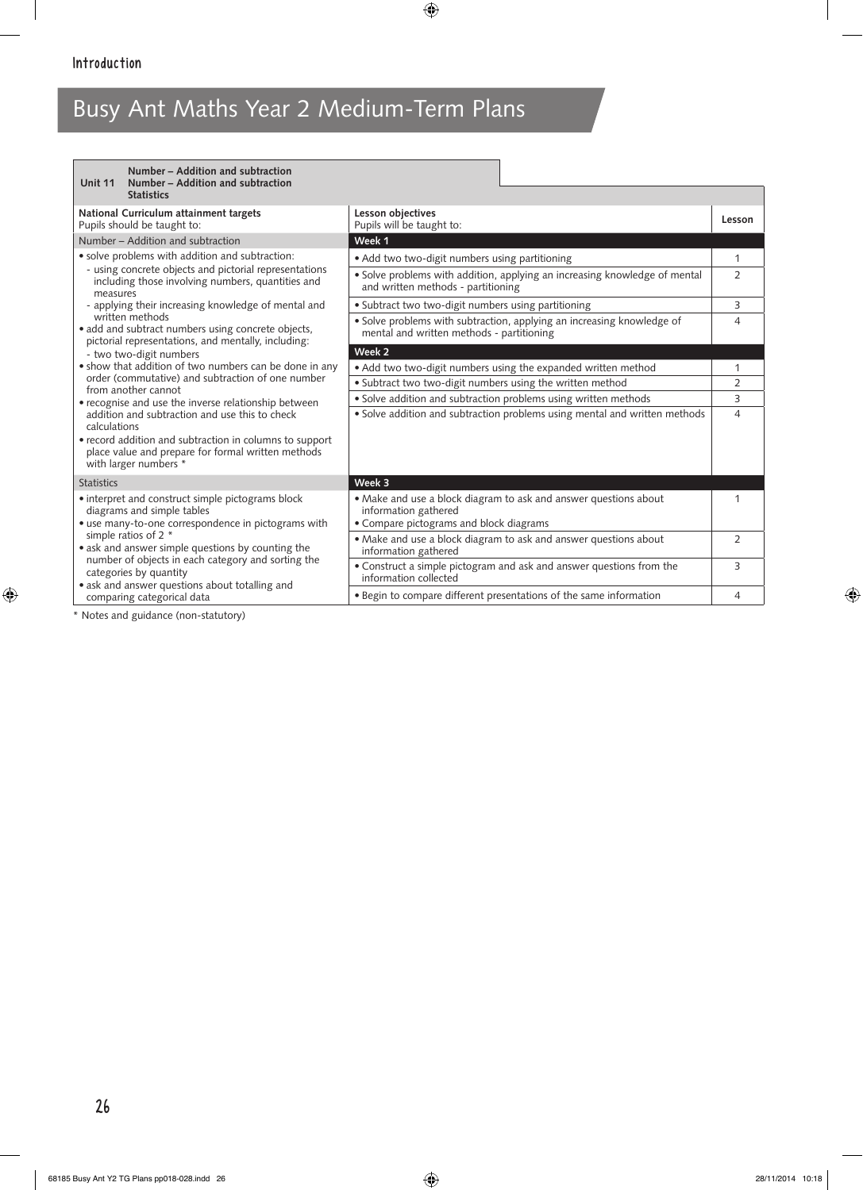| Number - Addition and subtraction<br>Unit 11<br>Number – Addition and subtraction                                                                                                                                                                                                                                                                                                                                                                      |                                                                                                                     |                |
|--------------------------------------------------------------------------------------------------------------------------------------------------------------------------------------------------------------------------------------------------------------------------------------------------------------------------------------------------------------------------------------------------------------------------------------------------------|---------------------------------------------------------------------------------------------------------------------|----------------|
| <b>Statistics</b>                                                                                                                                                                                                                                                                                                                                                                                                                                      |                                                                                                                     |                |
| National Curriculum attainment targets<br>Pupils should be taught to:                                                                                                                                                                                                                                                                                                                                                                                  | Lesson objectives<br>Pupils will be taught to:                                                                      | Lesson         |
| Number – Addition and subtraction                                                                                                                                                                                                                                                                                                                                                                                                                      | Week 1                                                                                                              |                |
| • solve problems with addition and subtraction:<br>- using concrete objects and pictorial representations<br>including those involving numbers, quantities and<br>measures<br>- applying their increasing knowledge of mental and<br>written methods<br>• add and subtract numbers using concrete objects,<br>pictorial representations, and mentally, including:<br>- two two-digit numbers<br>. show that addition of two numbers can be done in any | · Add two two-digit numbers using partitioning                                                                      | 1              |
|                                                                                                                                                                                                                                                                                                                                                                                                                                                        | • Solve problems with addition, applying an increasing knowledge of mental<br>and written methods - partitioning    | $\overline{2}$ |
|                                                                                                                                                                                                                                                                                                                                                                                                                                                        | • Subtract two two-digit numbers using partitioning                                                                 | 3              |
|                                                                                                                                                                                                                                                                                                                                                                                                                                                        | · Solve problems with subtraction, applying an increasing knowledge of<br>mental and written methods - partitioning | $\overline{4}$ |
|                                                                                                                                                                                                                                                                                                                                                                                                                                                        | Week 2                                                                                                              |                |
|                                                                                                                                                                                                                                                                                                                                                                                                                                                        | • Add two two-digit numbers using the expanded written method                                                       | 1              |
| order (commutative) and subtraction of one number<br>from another cannot                                                                                                                                                                                                                                                                                                                                                                               | · Subtract two two-digit numbers using the written method                                                           | $\overline{2}$ |
| • recognise and use the inverse relationship between<br>addition and subtraction and use this to check<br>calculations                                                                                                                                                                                                                                                                                                                                 | · Solve addition and subtraction problems using written methods                                                     | 3              |
|                                                                                                                                                                                                                                                                                                                                                                                                                                                        | • Solve addition and subtraction problems using mental and written methods                                          | $\overline{4}$ |
| • record addition and subtraction in columns to support<br>place value and prepare for formal written methods                                                                                                                                                                                                                                                                                                                                          |                                                                                                                     |                |
| with larger numbers *                                                                                                                                                                                                                                                                                                                                                                                                                                  |                                                                                                                     |                |
| <b>Statistics</b>                                                                                                                                                                                                                                                                                                                                                                                                                                      | Week 3                                                                                                              |                |
| • interpret and construct simple pictograms block                                                                                                                                                                                                                                                                                                                                                                                                      | • Make and use a block diagram to ask and answer questions about                                                    |                |
| diagrams and simple tables<br>· use many-to-one correspondence in pictograms with                                                                                                                                                                                                                                                                                                                                                                      | information gathered<br>• Compare pictograms and block diagrams                                                     |                |
| simple ratios of 2 *                                                                                                                                                                                                                                                                                                                                                                                                                                   | • Make and use a block diagram to ask and answer questions about                                                    | 2              |
| • ask and answer simple questions by counting the<br>number of objects in each category and sorting the<br>categories by quantity<br>• ask and answer questions about totalling and                                                                                                                                                                                                                                                                    | information gathered                                                                                                |                |
|                                                                                                                                                                                                                                                                                                                                                                                                                                                        | • Construct a simple pictogram and ask and answer questions from the<br>information collected                       | 3              |
| comparing categorical data                                                                                                                                                                                                                                                                                                                                                                                                                             | • Begin to compare different presentations of the same information                                                  | 4              |